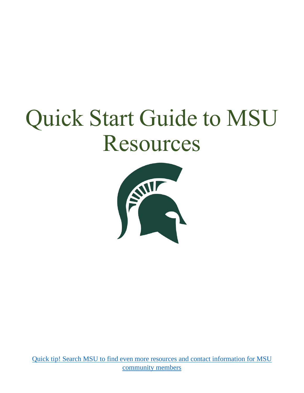# Quick Start Guide to MSU Resources



Quick tip! Search MSU to find even more resources [and contact information for MSU](https://search.msu.edu/)  [community members](https://search.msu.edu/)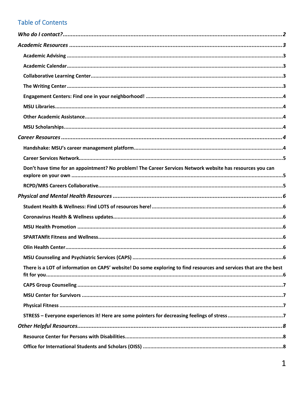## **Table of Contents**

| Don't have time for an appointment? No problem! The Career Services Network website has resources you can          |  |
|--------------------------------------------------------------------------------------------------------------------|--|
|                                                                                                                    |  |
|                                                                                                                    |  |
|                                                                                                                    |  |
|                                                                                                                    |  |
|                                                                                                                    |  |
|                                                                                                                    |  |
|                                                                                                                    |  |
|                                                                                                                    |  |
|                                                                                                                    |  |
| There is a LOT of information on CAPS' website! Do some exploring to find resources and services that are the best |  |
|                                                                                                                    |  |
|                                                                                                                    |  |
|                                                                                                                    |  |
|                                                                                                                    |  |
|                                                                                                                    |  |
|                                                                                                                    |  |
|                                                                                                                    |  |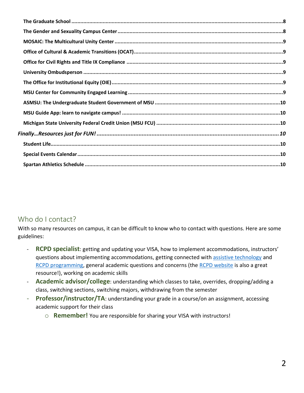# <span id="page-2-0"></span>Who do I contact?

With so many resources on campus, it can be difficult to know who to contact with questions. Here are some guidelines:

- **RCPD specialist**: getting and updating your VISA, how to implement accommodations, instructors' questions about implementing accommodations, getting connected with [assistive technology](https://www.rcpd.msu.edu/programs/assistive-technology) and [RCPD programming,](https://www.rcpd.msu.edu/programs/signature-programs) general academic questions and concerns (the [RCPD website](https://www.rcpd.msu.edu/) is also a great resource!), working on academic skills
- **Academic advisor/college**: understanding which classes to take, overrides, dropping/adding a class, switching sections, switching majors, withdrawing from the semester
- **Professor/instructor/TA**: understanding your grade in a course/on an assignment, accessing academic support for their class
	- o **Remember!** You are responsible for sharing your VISA with instructors!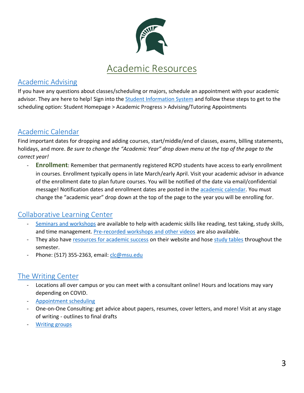

## <span id="page-3-1"></span><span id="page-3-0"></span>[Academic Advising](https://student.msu.edu/splash.html)

If you have any questions about classes/scheduling or majors, schedule an appointment with your academic advisor. They are here to help! Sign into the [Student Information System](https://student.msu.edu/splash.html) and follow these steps to get to the scheduling option: Student Homepage > Academic Progress > Advising/Tutoring Appointments

# <span id="page-3-2"></span>[Academic Calendar](https://reg.msu.edu/ROInfo/Calendar/academic.aspx)

Find important dates for dropping and adding courses, start/middle/end of classes, exams, billing statements, holidays, and more. *Be sure to change the "Academic Year" drop down menu at the top of the page to the correct year!*

- **Enrollment**: Remember that permanently registered RCPD students have access to early enrollment in courses. Enrollment typically opens in late March/early April. Visit your academic advisor in advance of the enrollment date to plan future courses. You will be notified of the date via email/confidential message! Notification dates and enrollment dates are posted in the [academic calendar.](https://reg.msu.edu/ROInfo/Calendar/academic.aspx) You must change the "academic year" drop down at the top of the page to the year you will be enrolling for.

# <span id="page-3-3"></span>[Collaborative Learning](https://nssc.msu.edu/clc/index.html) Center

- [Seminars and workshops](https://nssc.msu.edu/clc/academicsuccessskills/workshopschedule.html) are available to help with academic skills like reading, test taking, study skills, and time management. [Pre-recorded workshops and other videos](https://nssc.msu.edu/clc/academicsuccessskills/recording-previous-workshops.html) are also available.
- They also have [resources for academic success](https://nssc.msu.edu/clc/academicsuccessskills/resources.html) on their website and hose [study tables](https://nssc.msu.edu/clc/academicsuccessskills/Studytable.html) throughout the semester.
- Phone: (517) 355-2363, email: *clc@msu.edu*

# <span id="page-3-4"></span>[The Writing Center](http://www.writing.msu.edu/)

- Locations all over campus or you can meet with a consultant online! Hours and locations may vary depending on COVID.
- [Appointment scheduling](https://writing.msu.edu/services/consultations/)
- One-on-One Consulting: get advice about papers, resumes, cover letters, and more! Visit at any stage of writing - outlines to final drafts
- **[Writing groups](https://writing.msu.edu/services/writing-groups/writing-group-catalog/)**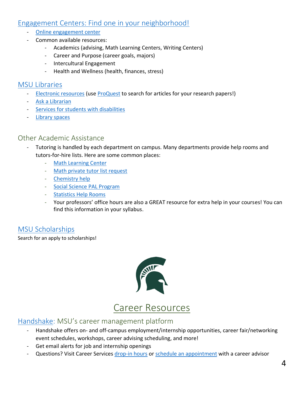## <span id="page-4-0"></span>[Engagement Centers: Find one in your neighborhood!](https://nssc.msu.edu/engagement/index.html)

- [Online engagement center](https://nssc.msu.edu/oec/index.html)
- Common available resources:
	- Academics (advising, Math Learning Centers, Writing Centers)
	- Career and Purpose (career goals, majors)
	- Intercultural Engagement
	- Health and Wellness (health, finances, stress)

#### <span id="page-4-1"></span>[MSU Libraries](https://lib.msu.edu/)

- [Electronic resources](https://libguides.lib.msu.edu/eresources?ref=ql) (use [ProQuest](https://search-proquest-com.proxy2.cl.msu.edu/index?accountid=12598) to search for articles for your research papers!)
- [Ask a Librarian](https://lib.msu.edu/contact/askalib/)
- [Services for students with disabilities](https://lib.msu.edu/general/access-services/)
- Library spaces

#### <span id="page-4-2"></span>Other Academic Assistance

- Tutoring is handled by each department on campus. Many departments provide help rooms and tutors-for-hire lists. Here are some common places:
	- [Math Learning Center](https://math.msu.edu/mlc/)
	- [Math private tutor list request](https://math.msu.edu/classes/private_tutoring.aspx)
	- [Chemistry help](https://www.chemistry.msu.edu/undergraduate-program/tutoring-information/)
	- [Social Science PAL Program](https://socialscience.msu.edu/undergraduate/current-students/student-success/pal-program.html)
	- [Statistics Help Rooms](https://stt.natsci.msu.edu/academics/statistics-learning-center/)
	- Your professors' office hours are also a GREAT resource for extra help in your courses! You can find this information in your syllabus.

#### <span id="page-4-3"></span>[MSU Scholarships](https://scholarships.msu.edu/)

Search for an apply to scholarships!



# Career Resources

#### <span id="page-4-5"></span><span id="page-4-4"></span>[Handshake:](https://careernetwork.msu.edu/resources/handshake/) MSU's career management platform

- Handshake offers on- and off-campus employment/internship opportunities, career fair/networking event schedules, workshops, career advising scheduling, and more!
- Get email alerts for job and internship openings
- Questions? Visit Career Service[s drop-in hours](https://careernetwork.msu.edu/channels/drop-in-services/) or [schedule an appointment](https://careernetwork.msu.edu/appointments/) with a career advisor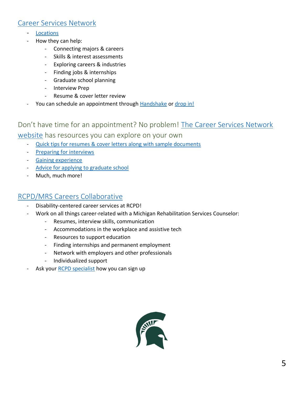# <span id="page-5-0"></span>[Career Services Network](https://careernetwork.msu.edu/)

- [Locations](https://careernetwork.msu.edu/appointments-and-location/)
- How they can help:
	- Connecting majors & careers
	- Skills & interest assessments
	- Exploring careers & industries
	- Finding jobs & internships
	- Graduate school planning
	- Interview Prep
	- Resume & cover letter review
- You can schedule an appointment through [Handshake](https://careernetwork.msu.edu/resources/handshake/) or [drop in!](https://careernetwork.msu.edu/channels/drop-in-services/)

# <span id="page-5-1"></span>Don't have time for an appointment? No problem! The Career Services Network

#### [website](https://careernetwork.msu.edu/) has resources you can explore on your own

- [Quick tips for resumes & cover letters along with sample documents](https://careernetwork.msu.edu/channels/write-a-resume-or-cover-letter/)
- [Preparing for interviews](https://careernetwork.msu.edu/channels/prepare-for-interviews/)
- [Gaining experience](https://careernetwork.msu.edu/channels/gain-experience/)
- [Advice for applying to graduate school](https://careernetwork.msu.edu/channels/explore-graduate-school/)
- Much, much more!

#### <span id="page-5-2"></span>RCPD/MRS [Careers Collaborative](https://www.rcpd.msu.edu/careerscollaborative)

- Disability-centered career services at RCPD!
- Work on all things career-related with a Michigan Rehabilitation Services Counselor:
	- Resumes, interview skills, communication
	- Accommodations in the workplace and assistive tech
	- Resources to support education
	- Finding internships and permanent employment
	- Network with employers and other professionals
	- Individualized support
- Ask your [RCPD specialist](https://www.rcpd.msu.edu/teamrcpd) how you can sign up

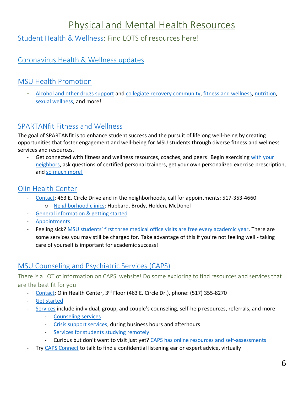# Physical and Mental Health Resources

# <span id="page-6-1"></span><span id="page-6-0"></span>[Student Health & Wellness:](https://studenthealth.msu.edu/index.html) Find LOTS of resources here!

# <span id="page-6-2"></span>[Coronavirus Health & Wellness updates](https://studenthealth.msu.edu/coronavirus.html)

## <span id="page-6-3"></span>[MSU Health Promotion](https://healthpromotion.msu.edu/index.html)

- [Alcohol and other drugs support](https://healthpromotion.msu.edu/alcohol-drugs/index.html) and [collegiate recovery community,](https://healthpromotion.msu.edu/recovery/index.html) [fitness and wellness,](https://healthpromotion.msu.edu/fitness/index.html) [nutrition,](https://healthpromotion.msu.edu/nutrition/index.html) [sexual wellness,](https://healthpromotion.msu.edu/sexual-wellness/index.html) and more!

#### <span id="page-6-4"></span>[SPARTANfit Fitness and Wellness](https://healthpromotion.msu.edu/fitness/index.html)

The goal of SPARTANfit is to enhance student success and the pursuit of lifelong well-being by creating opportunities that foster engagement and well-being for MSU students through diverse fitness and wellness services and resources.

Get connected with fitness and wellness resources, coaches, and peers! Begin exercising with your [neighbors,](https://liveon.msu.edu/campus-life/fitness) ask questions of certified personal trainers, get your own personalized exercise prescription, and [so much more!](https://healthpromotion.msu.edu/fitness/index.html)

#### <span id="page-6-5"></span>[Olin Health Center](http://www.olin.msu.edu/)

- [Contact:](https://olin.msu.edu/contact.html) 463 E. Circle Drive and in the neighborhoods, call for appointments: 517-353-4660 o [Neighborhood clinics:](https://olin.msu.edu/services/neighborhood-clinics.html) Hubbard, Brody, Holden, McDonel
- [General information & getting started](https://olin.msu.edu/general/index.html)
- [Appointments](https://olin.msu.edu/general/appointments.html)
- Feeling sick? [MSU students' first three medical office visits are](http://olin.msu.edu/generalinfo/costs.htm) free every academic year. There are some services you may still be charged for. Take advantage of this if you're not feeling well - taking care of yourself is important for academic success!

# <span id="page-6-6"></span>[MSU Counseling and Psychiatric Services \(CAPS\)](https://caps.msu.edu/)

<span id="page-6-7"></span>There is a LOT of information on CAPS' website! Do some exploring to find resources and services that are the best fit for you

- [Contact:](https://caps.msu.edu/contact.html) Olin Health Center, 3<sup>rd</sup> Floor (463 E. Circle Dr.), phone: (517) 355-8270
- [Get started](https://caps.msu.edu/general_info/index.html)
- [Services](https://caps.msu.edu/services/index.html) include individual, group, and couple's counseling, self-help resources, referrals, and more
	- [Counseling services](https://caps.msu.edu/services/counseling_options.html)
	- **[Crisis support services,](https://caps.msu.edu/emergency/index.html) during business hours and afterhours**
	- [Services for students studying remotely](https://caps.msu.edu/services/outside-lansing.html)
	- Curious but don't want to visit just yet? [CAPS has online resources and self-assessments](https://caps.msu.edu/services/self-assessments.html)
- Try [CAPS Connect](https://caps.msu.edu/services/CAPSConnect.html) to talk to find a confidential listening ear or expert advice, virtually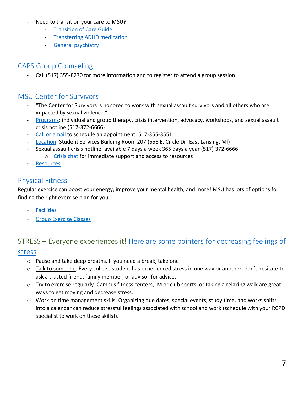- Need to transition your care to MSU?
	- [Transition of Care Guide](https://caps.msu.edu/_assets/2020CAPSTransitionOfCare.pdf)
	- [Transferring ADHD](https://caps.msu.edu/services/adhd.html) medication
	- General [psychiatry](https://caps.msu.edu/services/Psychiatry.html)

# <span id="page-7-0"></span>CAPS [Group](https://caps.msu.edu/services/groups/index.html) Counseling

Call (517) 355-8270 for more information and to register to attend a group session

# <span id="page-7-1"></span>[MSU Center for Survivors](https://centerforsurvivors.msu.edu/)

- "The Center for Survivors is honored to work with sexual assault survivors and all others who are impacted by sexual violence."
- [Programs:](https://centerforsurvivors.msu.edu/services/) individual and group therapy, crisis intervention, advocacy, workshops, and sexual assault crisis hotline (517-372-6666)
- [Call or email](https://centerforsurvivors.msu.edu/contact/) to schedule an appointment: 517-355-3551
- [Location:](https://centerforsurvivors.msu.edu/contact/) Student Services Building Room 207 (556 E. Circle Dr. East Lansing, MI)
- Sexual assault crisis hotline: available 7 days a week 365 days a year (517) 372-6666
	- o [Crisis chat](https://centerforsurvivors.msu.edu/programs/crisis-chat/index.html) for immediate support and access to resources
- **[Resources](https://centerforsurvivors.msu.edu/education-resources/index.html)**

# <span id="page-7-2"></span>[Physical Fitness](https://recsports.msu.edu/fitness/index.html)

Regular exercise can boost your energy, improve your mental health, and more! MSU has lots of options for finding the right exercise plan for you

- [Facilities](https://recsports.msu.edu/facilities/index.html)
- [Group Exercise Classes](https://recsports.msu.edu/fitness/groupex.html)

# <span id="page-7-3"></span>STRESS – Everyone experiences it! Here are some pointers for decreasing feelings of [stress](https://caps.msu.edu/services/what-to-do-now.html)

- o Pause and take deep breaths. If you need a break, take one!
- o Talk to someone. Every college student has experienced stress in one way or another, don't hesitate to ask a trusted friend, family member, or advisor for advice.
- $\circ$  Try to exercise regularly. Campus fitness centers, IM or club sports, or taking a relaxing walk are great ways to get moving and decrease stress.
- o Work on time management skills. Organizing due dates, special events, study time, and works shifts into a calendar can reduce stressful feelings associated with school and work (schedule with your RCPD specialist to work on these skills!).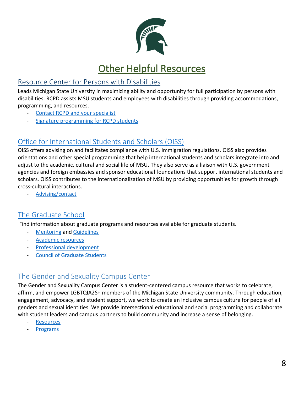

# **Other Helpful Resources**

# <span id="page-8-1"></span><span id="page-8-0"></span>[Resource Center for Persons with Disabilities](http://www.rcpd.msu.edu/)

Leads Michigan State University in maximizing ability and opportunity for full participation by persons with disabilities. RCPD assists MSU students and employees with disabilities through providing accommodations, programming, and resources.

- [Contact RCPD and your specialist](https://www.rcpd.msu.edu/about/teamrcpd)
- [Signature programming for RCPD students](https://www.rcpd.msu.edu/programs/signature-programs)

# <span id="page-8-2"></span>[Office for International Students and Scholars \(OISS\)](https://oiss.isp.msu.edu/)

OISS offers advising on and facilitates compliance with U.S. immigration regulations. OISS also provides orientations and other special programming that help international students and scholars integrate into and adjust to the academic, cultural and social life of MSU. They also serve as a liaison with U.S. government agencies and foreign embassies and sponsor educational foundations that support international students and scholars. OISS contributes to the internationalization of MSU by providing opportunities for growth through cross-cultural interactions.

[Advising/contact](https://oiss.isp.msu.edu/about/location/)

# <span id="page-8-3"></span>[The Graduate School](https://grad.msu.edu/)

Find information about graduate programs and resources available for graduate students.

- **[Mentoring](https://grad.msu.edu/optimizing-mentoring) and [Guidelines](https://grad.msu.edu/msu-guidelines-graduate-student-mentoring-advising)**
- [Academic resources](https://grad.msu.edu/academics)
- [Professional development](https://grad.msu.edu/professional-development)
- [Council of Graduate Students](https://cogs.msu.edu/)

# <span id="page-8-4"></span>[The Gender and Sexuality Campus Center](https://gscc.msu.edu/)

The Gender and Sexuality Campus Center is a student-centered campus resource that works to celebrate, affirm, and empower LGBTQIA2S+ members of the Michigan State University community. Through education, engagement, advocacy, and student support, we work to create an inclusive campus culture for people of all genders and sexual identities. We provide intersectional educational and social programming and collaborate with student leaders and campus partners to build community and increase a sense of belonging.

- **[Resources](https://gscc.msu.edu/education/index.html)**
- **[Programs](https://gscc.msu.edu/programs/index.html)**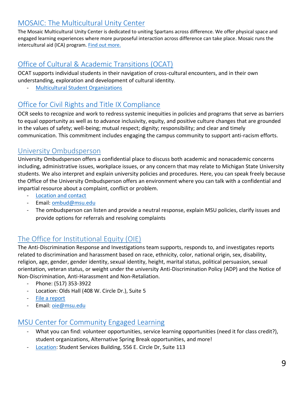# <span id="page-9-0"></span>[MOSAIC: The Multicultural Unity Center](https://mosaic.msu.edu/)

The Mosaic Multicultural Unity Center is dedicated to uniting Spartans across difference. We offer physical space and engaged learning experiences where more purposeful interaction across difference can take place. Mosaic runs the intercultural aid (ICA) program. [Find out more.](https://mosaic.msu.edu/about-mosaic/index.html)

# <span id="page-9-1"></span>[Office of Cultural & Academic Transitions \(OCAT\)](http://ocat.msu.edu/)

OCAT supports individual students in their navigation of cross-cultural encounters, and in their own understanding, exploration and development of cultural identity.

- [Multicultural Student Organizations](http://ocat.msu.edu/multicultural-student-organizations/)

# <span id="page-9-2"></span>[Office for Civil Rights and Title IX Compliance](https://civilrights.msu.edu/)

OCR seeks to recognize and work to redress systemic inequities in policies and programs that serve as barriers to equal opportunity as well as to advance inclusivity, equity, and positive culture changes that are grounded in the values of safety; well-being; mutual respect; dignity; responsibility; and clear and timely communication. This commitment includes engaging the campus community to support anti-racism efforts.

#### <span id="page-9-3"></span>[University Ombudsperson](http://www.msu.edu/unit/ombud/)

University Ombudsperson offers a confidential place to discuss both academic and nonacademic concerns including, administrative issues, workplace issues, or any concern that may relate to Michigan State University students. We also interpret and explain university policies and procedures. Here, you can speak freely because the Office of the University Ombudsperson offers an environment where you can talk with a confidential and impartial resource about a complaint, conflict or problem.

- [Location and contact](https://ombud.msu.edu/schedule-appointment-contact)
- Email: [ombud@msu.edu](mailto:ombud@msu.edu)
- The ombudsperson can listen and provide a neutral response, explain MSU policies, clarify issues and provide options for referrals and resolving complaints

# <span id="page-9-4"></span>[The Office for Institutional Equity \(OIE\)](https://civilrights.msu.edu/response-and-investigations/index.html)

The Anti-Discrimination Response and Investigations team supports, responds to, and investigates reports related to discrimination and harassment based on race, ethnicity, color, national origin, sex, disability, religion, age, gender, gender identity, sexual identity, height, marital status, political persuasion, sexual orientation, veteran status, or weight under the university Anti-Discrimination Policy (ADP) and the Notice of Non-Discrimination, Anti-Harassment and Non-Retaliation.

- Phone: (517) 353-3922
- Location: Olds Hall (408 W. Circle Dr.), Suite 5
- [File a report](https://oie.msu.edu/file-a-report/index.html)
- Email: [oie@msu.edu](mailto:oie@msu.edu)

#### <span id="page-9-5"></span>[MSU Center for Community Engaged Learning](http://www.servicelearning.msu.edu/)

- What you can find: volunteer opportunities, service learning opportunities (need it for class credit?), student organizations, Alternative Spring Break opportunities, and more!
- [Location:](https://communityengagedlearning.msu.edu/about/contact) Student Services Building, 556 E. Circle Dr, Suite 113